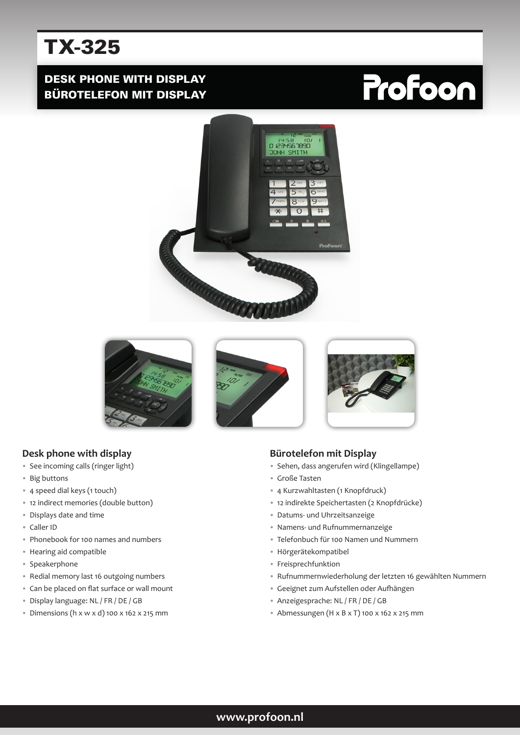# TX-325

## DESK PHONE WITH DISPLAY BÜROTELEFON MIT DISPLAY

# Profoon





#### **Desk phone with display**

- See incoming calls (ringer light)
- Big buttons
- 4 speed dial keys (1 touch)
- 12 indirect memories (double button)
- Displays date and time
- Caller ID
- Phonebook for 100 names and numbers
- Hearing aid compatible
- Speakerphone
- Redial memory last 16 outgoing numbers
- Can be placed on flat surface or wall mount
- Display language: NL / FR / DE / GB
- Dimensions (h x w x d) 100 x 162 x 215 mm

#### **Bürotelefon mit Display**

- Sehen, dass angerufen wird (Klingellampe)
- Große Tasten
- 4 Kurzwahltasten (1 Knopfdruck)
- 12 indirekte Speichertasten (2 Knopfdrücke)
- Datums- und Uhrzeitsanzeige
- Namens- und Rufnummernanzeige
- Telefonbuch für 100 Namen und Nummern
- Hörgerätekompatibel
- Freisprechfunktion
- Rufnummernwiederholung der letzten 16 gewählten Nummern
- Geeignet zum Aufstellen oder Aufhängen
- Anzeigesprache: NL / FR / DE / GB
- Abmessungen (H x B x T) 100 x 162 x 215 mm

#### **www.profoon.nl**